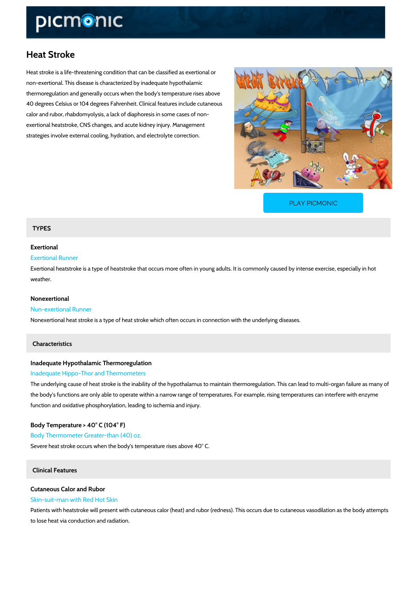# Heat Stroke

Heat stroke is a life-threatening condition that can be classified as exertional or non-exertional. This disease is characterized by inadequate hypothalamic thermoregulation and generally occurs when the body's temperature rises above 40 degrees Celsius or 104 degrees Fahrenheit. Clinical features include cutaneous calor and rubor, rhabdomyolysis, a lack of diaphoresis in some cases of non exertional heatstroke, CNS changes, and acute kidney injury. Management strategies involve external cooling, hydration, and electrolyte correction.

[PLAY PICMONIC](https://www.picmonic.com/learn/heat-stroke_50429?utm_source=downloadable_content&utm_medium=distributedcontent&utm_campaign=pathways_pdf&utm_content=Heat Stroke&utm_ad_group=leads&utm_market=all)

### TYPES

## Exertional

# Exertional Runner

Exertional heatstroke is a type of heatstroke that occurs more often in young adults. It is com weather.

### Nonexertional

### Nun-exertional Runner

Nonexertional heat stroke is a type of heat stroke which often occurs in connection with the u

### Characteristics

Inadequate Hypothalamic Thermoregulation Inadequate Hippo-Thor and Thermometers

The underlying cause of heat stroke is the inability of the hypothalamus to maintain thermore the body's functions are only able to operate within a narrow range of temperatures. For exam function and oxidative phosphorylation, leading to ischemia and injury.

Body Temperature > 40° C (104° F) Body Thermometer Greater-than (40) oz. Severe heat stroke occurs when the body's temperature rises above 40° C.

# Clinical Features

# Cutaneous Calor and Rubor

Skin-suit-man with Red Hot Skin

Patients with heatstroke will present with cutaneous calor (heat) and rubor (redness). This oc to lose heat via conduction and radiation.